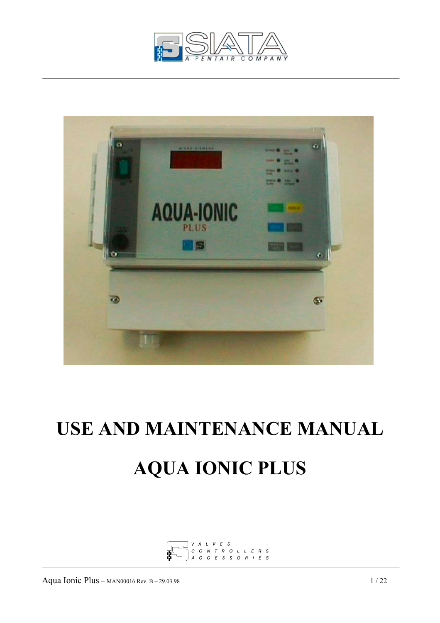



# **USE AND MAINTENANCE MANUAL AQUA IONIC PLUS**

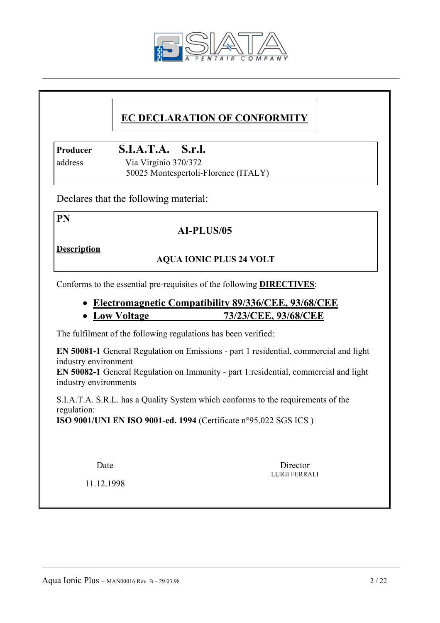

# **EC DECLARATION OF CONFORMITY**

**Producer S.I.A.T.A. S.r.l.**

 address Via Virginio 370/372 50025 Montespertoli-Florence (ITALY)

Declares that the following material:

**PN** 

# **AI-PLUS/05**

**Description**

# **AQUA IONIC PLUS 24 VOLT**

Conforms to the essential pre-requisites of the following **DIRECTIVES**:

# • **Electromagnetic Compatibility 89/336/CEE, 93/68/CEE**

# • **Low Voltage 73/23/CEE, 93/68/CEE**

The fulfilment of the following regulations has been verified:

**EN 50081-1** General Regulation on Emissions - part 1 residential, commercial and light industry environment

**EN 50082-1** General Regulation on Immunity - part 1:residential, commercial and light industry environments

 S.I.A.T.A. S.R.L. has a Quality System which conforms to the requirements of the regulation:

**ISO 9001/UNI EN ISO 9001-ed. 1994** (Certificate n°95.022 SGS ICS )

Date Director LUIGI FERRALI

11.12.1998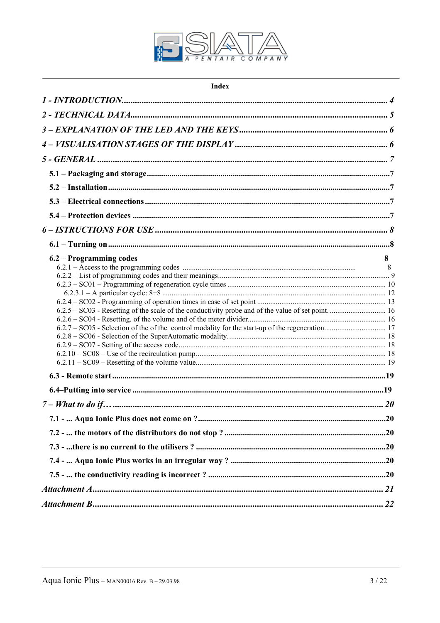

| Index                   |   |
|-------------------------|---|
|                         |   |
|                         |   |
|                         |   |
|                         |   |
|                         |   |
|                         |   |
|                         |   |
|                         |   |
|                         |   |
|                         |   |
|                         |   |
| 6.2 – Programming codes | 8 |
|                         | 8 |
|                         |   |
|                         |   |
|                         |   |
|                         |   |
|                         |   |
|                         |   |
|                         |   |
|                         |   |
|                         |   |
|                         |   |
|                         |   |
|                         |   |
|                         |   |
|                         |   |
|                         |   |
|                         |   |
|                         |   |
|                         |   |
|                         |   |
|                         |   |
|                         |   |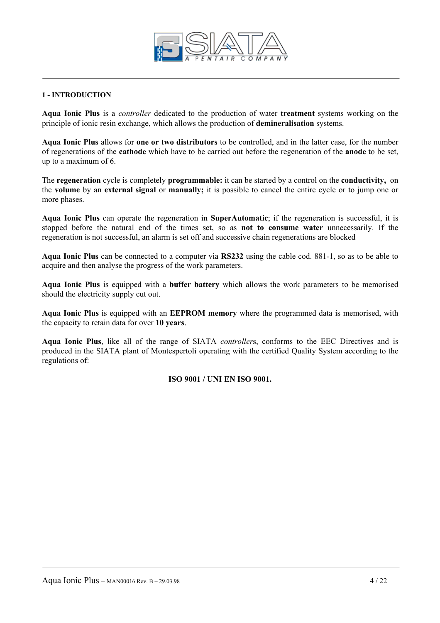

# **1 - INTRODUCTION**

**Aqua Ionic Plus** is a *controller* dedicated to the production of water **treatment** systems working on the principle of ionic resin exchange, which allows the production of **demineralisation** systems.

**Aqua Ionic Plus** allows for **one or two distributors** to be controlled, and in the latter case, for the number of regenerations of the **cathode** which have to be carried out before the regeneration of the **anode** to be set, up to a maximum of 6.

The **regeneration** cycle is completely **programmable:** it can be started by a control on the **conductivity,** on the **volume** by an **external signal** or **manually;** it is possible to cancel the entire cycle or to jump one or more phases.

**Aqua Ionic Plus** can operate the regeneration in **SuperAutomatic**; if the regeneration is successful, it is stopped before the natural end of the times set, so as **not to consume water** unnecessarily. If the regeneration is not successful, an alarm is set off and successive chain regenerations are blocked

**Aqua Ionic Plus** can be connected to a computer via **RS232** using the cable cod. 881-1, so as to be able to acquire and then analyse the progress of the work parameters.

**Aqua Ionic Plus** is equipped with a **buffer battery** which allows the work parameters to be memorised should the electricity supply cut out.

**Aqua Ionic Plus** is equipped with an **EEPROM memory** where the programmed data is memorised, with the capacity to retain data for over **10 years**.

**Aqua Ionic Plus**, like all of the range of SIATA *controller*s, conforms to the EEC Directives and is produced in the SIATA plant of Montespertoli operating with the certified Quality System according to the regulations of:

# **ISO 9001 / UNI EN ISO 9001.**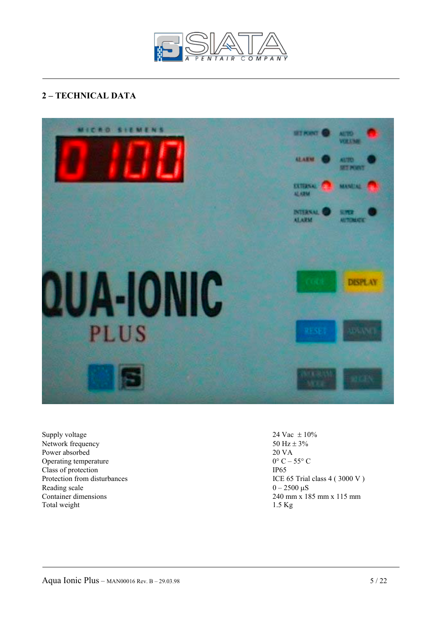

# **2 – TECHNICAL DATA**



Supply voltage  $24 \text{ Vac } \pm 10\%$ Network frequency 50 Hz  $\pm$  3%<br>Power absorbed 20 VA Power absorbed Operating temperature  $0^{\circ}$  C – 55° C Class of protection<br>
Protection from disturbances<br>
ICE ( Reading scale  $0 - 2500 \mu S$ Total weight 1.5 Kg

ICE 65 Trial class  $4$  ( 3000 V ) Container dimensions 240 mm x 185 mm x 115 mm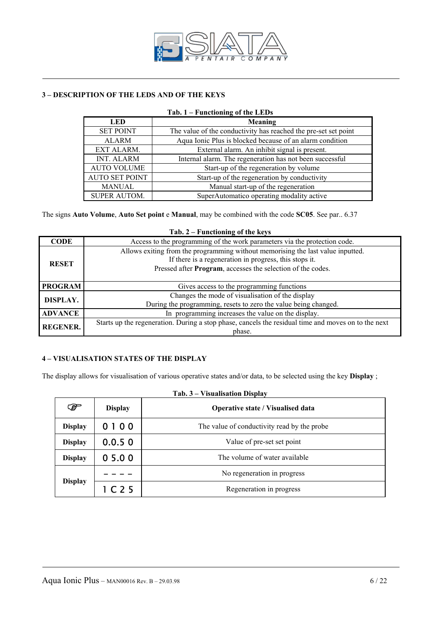

# **3 – DESCRIPTION OF THE LEDS AND OF THE KEYS**

| Tab. 1 – Functioning of the LEDs |                                                                 |  |  |  |  |  |
|----------------------------------|-----------------------------------------------------------------|--|--|--|--|--|
| Meaning<br><b>LED</b>            |                                                                 |  |  |  |  |  |
| <b>SET POINT</b>                 | The value of the conductivity has reached the pre-set set point |  |  |  |  |  |
| <b>ALARM</b>                     | Aqua Ionic Plus is blocked because of an alarm condition        |  |  |  |  |  |
| EXT ALARM.                       | External alarm. An inhibit signal is present.                   |  |  |  |  |  |
| <b>INT. ALARM</b>                | Internal alarm. The regeneration has not been successful        |  |  |  |  |  |
| <b>AUTO VOLUME</b>               | Start-up of the regeneration by volume                          |  |  |  |  |  |
| <b>AUTO SET POINT</b>            | Start-up of the regeneration by conductivity                    |  |  |  |  |  |
| <b>MANUAL</b>                    | Manual start-up of the regeneration                             |  |  |  |  |  |
| <b>SUPER AUTOM.</b>              | SuperAutomatico operating modality active                       |  |  |  |  |  |

The signs **Auto Volume**, **Auto Set point** e **Manual**, may be combined with the code **SC05**. See par.. 6.37

|                 | Tab. $2$ – Functioning of the keys                                                                  |
|-----------------|-----------------------------------------------------------------------------------------------------|
| <b>CODE</b>     | Access to the programming of the work parameters via the protection code.                           |
|                 | Allows exiting from the programming without memorising the last value inputted.                     |
| <b>RESET</b>    | If there is a regeneration in progress, this stops it.                                              |
|                 | Pressed after Program, accesses the selection of the codes.                                         |
|                 |                                                                                                     |
| <b>PROGRAM</b>  | Gives access to the programming functions                                                           |
| DISPLAY.        | Changes the mode of visualisation of the display                                                    |
|                 | During the programming, resets to zero the value being changed.                                     |
| <b>ADVANCE</b>  | In programming increases the value on the display.                                                  |
| <b>REGENER.</b> | Starts up the regeneration. During a stop phase, cancels the residual time and moves on to the next |
|                 | phase.                                                                                              |

# **4 – VISUALISATION STATES OF THE DISPLAY**

The display allows for visualisation of various operative states and/or data, to be selected using the key **Display** ;

| ⋐              | <b>Display</b> | <b>Operative state / Visualised data</b>     |  |  |  |  |
|----------------|----------------|----------------------------------------------|--|--|--|--|
| <b>Display</b> | 0100           | The value of conductivity read by the probe. |  |  |  |  |
| <b>Display</b> | 0.0.50         | Value of pre-set set point                   |  |  |  |  |
| <b>Display</b> | 05.00          | The volume of water available                |  |  |  |  |
| <b>Display</b> |                | No regeneration in progress                  |  |  |  |  |
|                | 1 C25          | Regeneration in progress                     |  |  |  |  |

# **Tab. 3 – Visualisation Display**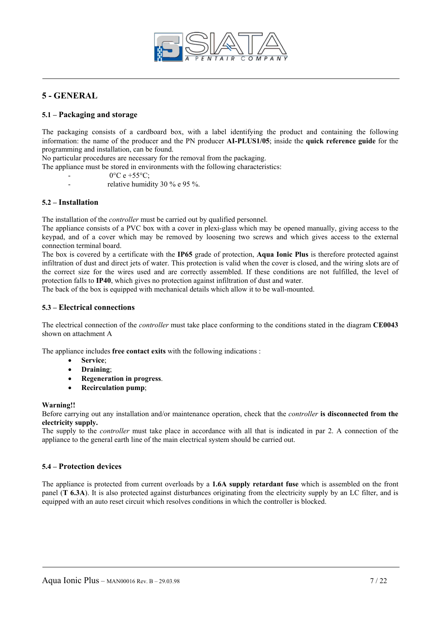

# **5 - GENERAL**

# **5.1 – Packaging and storage**

The packaging consists of a cardboard box, with a label identifying the product and containing the following information: the name of the producer and the PN producer **AI-PLUS1/05**; inside the **quick reference guide** for the programming and installation, can be found.

No particular procedures are necessary for the removal from the packaging.

- The appliance must be stored in environments with the following characteristics:
	- $0^{\circ}$ C e +55 $^{\circ}$ C;
	- relative humidity 30 % e 95 %.

## **5.2 – Installation**

The installation of the *controller* must be carried out by qualified personnel.

The appliance consists of a PVC box with a cover in plexi-glass which may be opened manually, giving access to the keypad, and of a cover which may be removed by loosening two screws and which gives access to the external connection terminal board.

The box is covered by a certificate with the **IP65** grade of protection, **Aqua Ionic Plus** is therefore protected against infiltration of dust and direct jets of water. This protection is valid when the cover is closed, and the wiring slots are of the correct size for the wires used and are correctly assembled. If these conditions are not fulfilled, the level of protection falls to **IP40**, which gives no protection against infiltration of dust and water.

The back of the box is equipped with mechanical details which allow it to be wall-mounted.

#### **5.3 – Electrical connections**

The electrical connection of the *controller* must take place conforming to the conditions stated in the diagram **CE0043** shown on attachment A

The appliance includes **free contact exits** with the following indications :

- **Service**;
- **Draining**;
- **Regeneration in progress**.
- **Recirculation pump**;

#### **Warning!!**

Before carrying out any installation and/or maintenance operation, check that the *controller* **is disconnected from the electricity supply.** 

The supply to the *controller* must take place in accordance with all that is indicated in par 2. A connection of the appliance to the general earth line of the main electrical system should be carried out.

# **5.4 – Protection devices**

The appliance is protected from current overloads by a **1.6A supply retardant fuse** which is assembled on the front panel (**T 6.3A**). It is also protected against disturbances originating from the electricity supply by an LC filter, and is equipped with an auto reset circuit which resolves conditions in which the controller is blocked.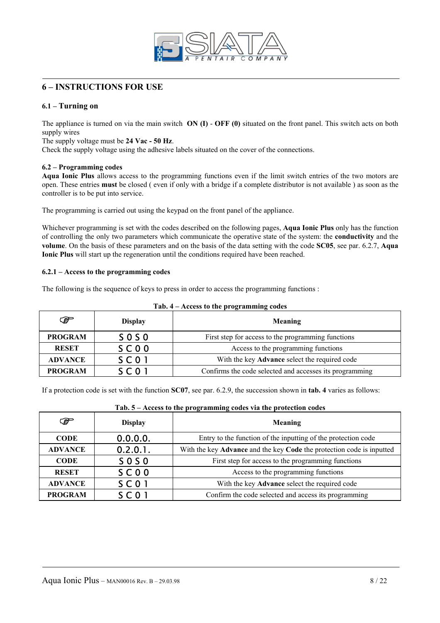

# **6 – INSTRUCTIONS FOR USE**

# **6.1 – Turning on**

The appliance is turned on via the main switch **ON (I)** - **OFF (0)** situated on the front panel. This switch acts on both supply wires

## The supply voltage must be **24 Vac - 50 Hz**.

Check the supply voltage using the adhesive labels situated on the cover of the connections.

# **6.2 – Programming codes**

**Aqua Ionic Plus** allows access to the programming functions even if the limit switch entries of the two motors are open. These entries **must** be closed ( even if only with a bridge if a complete distributor is not available ) as soon as the controller is to be put into service.

The programming is carried out using the keypad on the front panel of the appliance.

Whichever programming is set with the codes described on the following pages, **Aqua Ionic Plus** only has the function of controlling the only two parameters which communicate the operative state of the system: the **conductivity** and the **volume**. On the basis of these parameters and on the basis of the data setting with the code **SC05**, see par. 6.2.7, **Aqua Ionic Plus** will start up the regeneration until the conditions required have been reached.

# **6.2.1 – Access to the programming codes**

The following is the sequence of keys to press in order to access the programming functions :

| ☞              | <b>Display</b> | Meaning                                                 |  |  |  |
|----------------|----------------|---------------------------------------------------------|--|--|--|
| <b>PROGRAM</b> | $S$ O S O      | First step for access to the programming functions      |  |  |  |
| <b>RESET</b>   | SC00           | Access to the programming functions                     |  |  |  |
| <b>ADVANCE</b> | <b>SC01</b>    | With the key Advance select the required code           |  |  |  |
| <b>PROGRAM</b> | $S \cap 0$     | Confirms the code selected and accesses its programming |  |  |  |

# **Tab. 4 – Access to the programming codes**

If a protection code is set with the function **SC07**, see par. 6.2.9, the succession shown in **tab. 4** varies as follows:

| ☞              | <b>Display</b>  | Meaning                                                               |
|----------------|-----------------|-----------------------------------------------------------------------|
| <b>CODE</b>    | 0.0.0.0.        | Entry to the function of the inputting of the protection code         |
| <b>ADVANCE</b> | 0.2.0.1.        | With the key Advance and the key Code the protection code is inputted |
| <b>CODE</b>    | <b>SOSO</b>     | First step for access to the programming functions                    |
| <b>RESET</b>   | SCOO            | Access to the programming functions                                   |
| <b>ADVANCE</b> | $S$ C 0 1       | With the key Advance select the required code                         |
| <b>PROGRAM</b> | SC <sub>0</sub> | Confirm the code selected and access its programming                  |

# **Tab. 5 – Access to the programming codes via the protection codes**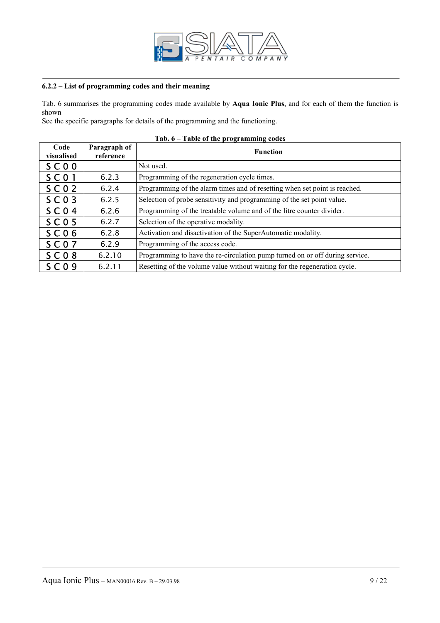

# **6.2.2 – List of programming codes and their meaning**

Tab. 6 summarises the programming codes made available by **Aqua Ionic Plus**, and for each of them the function is shown

See the specific paragraphs for details of the programming and the functioning.

| Code<br>visualised | Paragraph of<br>reference | <b>Function</b>                                                              |
|--------------------|---------------------------|------------------------------------------------------------------------------|
| SCOO               |                           | Not used.                                                                    |
| $S$ C 0 1          | 6.2.3                     | Programming of the regeneration cycle times.                                 |
| SCO <sub>2</sub>   | 6.2.4                     | Programming of the alarm times and of resetting when set point is reached.   |
| $S$ C 0 3          | 6.2.5                     | Selection of probe sensitivity and programming of the set point value.       |
| $S$ C 0 4          | 6.2.6                     | Programming of the treatable volume and of the litre counter divider.        |
| $S$ C 0 5          | 6.2.7                     | Selection of the operative modality.                                         |
| $S$ C 0 6          | 6.2.8                     | Activation and disactivation of the SuperAutomatic modality.                 |
| <b>SC07</b>        | 6.2.9                     | Programming of the access code.                                              |
| $S$ C 0 8          | 6.2.10                    | Programming to have the re-circulation pump turned on or off during service. |
| $S$ C O 9          | 6.2.11                    | Resetting of the volume value without waiting for the regeneration cycle.    |

# **Tab. 6 – Table of the programming codes**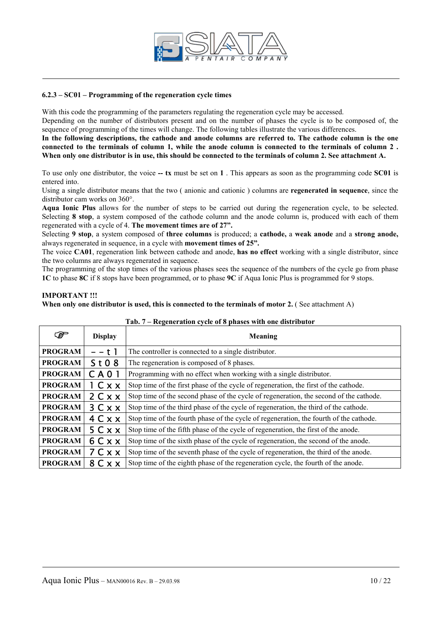

## **6.2.3 – SC01 – Programming of the regeneration cycle times**

With this code the programming of the parameters regulating the regeneration cycle may be accessed.

Depending on the number of distributors present and on the number of phases the cycle is to be composed of, the sequence of programming of the times will change. The following tables illustrate the various differences.

**In the following descriptions, the cathode and anode columns are referred to. The cathode column is the one connected to the terminals of column 1, while the anode column is connected to the terminals of column 2 .**  When only one distributor is in use, this should be connected to the terminals of column 2. See attachment A.

To use only one distributor, the voice **-- tx** must be set on **1** . This appears as soon as the programming code **SC01** is entered into.

Using a single distributor means that the two ( anionic and cationic ) columns are **regenerated in sequence**, since the distributor cam works on 360°.

**Aqua Ionic Plus** allows for the number of steps to be carried out during the regeneration cycle, to be selected. Selecting **8 stop**, a system composed of the cathode column and the anode column is, produced with each of them regenerated with a cycle of 4. **The movement times are of 27".** 

Selecting **9 stop**, a system composed of **three columns** is produced; a **cathode,** a **weak anode** and a **strong anode,**  always regenerated in sequence, in a cycle with **movement times of 25".**

The voice **CA01**, regeneration link between cathode and anode, **has no effect** working with a single distributor, since the two columns are always regenerated in sequence.

The programming of the stop times of the various phases sees the sequence of the numbers of the cycle go from phase **1C** to phase **8C** if 8 stops have been programmed, or to phase **9C** if Aqua Ionic Plus is programmed for 9 stops.

#### **IMPORTANT !!!**

When only one distributor is used, this is connected to the terminals of motor 2. (See attachment A)

| F              | <b>Display</b> | Meaning                                                                                |
|----------------|----------------|----------------------------------------------------------------------------------------|
| <b>PROGRAM</b> | – – t 1        | The controller is connected to a single distributor.                                   |
| <b>PROGRAM</b> | St08           | The regeneration is composed of 8 phases.                                              |
| <b>PROGRAM</b> | C A 0 1        | Programming with no effect when working with a single distributor.                     |
| <b>PROGRAM</b> | I C x x        | Stop time of the first phase of the cycle of regeneration, the first of the cathode.   |
| <b>PROGRAM</b> | 2 C X X        | Stop time of the second phase of the cycle of regeneration, the second of the cathode. |
| <b>PROGRAM</b> | 3 C X X        | Stop time of the third phase of the cycle of regeneration, the third of the cathode.   |
| <b>PROGRAM</b> | 4 C x x        | Stop time of the fourth phase of the cycle of regeneration, the fourth of the cathode. |
| <b>PROGRAM</b> | 5 C x x        | Stop time of the fifth phase of the cycle of regeneration, the first of the anode.     |
| <b>PROGRAM</b> | 6 C x x        | Stop time of the sixth phase of the cycle of regeneration, the second of the anode.    |
| <b>PROGRAM</b> | 7 C x x        | Stop time of the seventh phase of the cycle of regeneration, the third of the anode.   |
| <b>PROGRAM</b> | 8 C X X        | Stop time of the eighth phase of the regeneration cycle, the fourth of the anode.      |

## **Tab. 7 – Regeneration cycle of 8 phases with one distributor**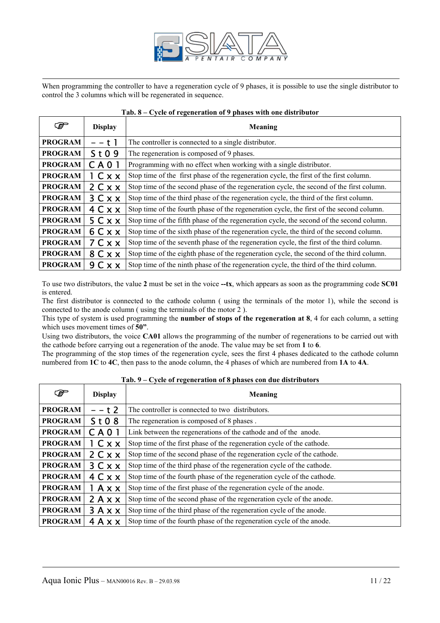

When programming the controller to have a regeneration cycle of 9 phases, it is possible to use the single distributor to control the 3 columns which will be regenerated in sequence.

|  |  | Tab. 8 – Cycle of regeneration of 9 phases with one distributor |  |  |  |
|--|--|-----------------------------------------------------------------|--|--|--|
|  |  |                                                                 |  |  |  |

| ☞              | <b>Display</b>  | <b>Meaning</b>                                                                           |
|----------------|-----------------|------------------------------------------------------------------------------------------|
| <b>PROGRAM</b> | – – t 1         | The controller is connected to a single distributor.                                     |
| <b>PROGRAM</b> | St09            | The regeneration is composed of 9 phases.                                                |
| <b>PROGRAM</b> | CA <sub>0</sub> | Programming with no effect when working with a single distributor.                       |
| <b>PROGRAM</b> | 1 Cxx           | Stop time of the first phase of the regeneration cycle, the first of the first column.   |
| <b>PROGRAM</b> | 2 C x x         | Stop time of the second phase of the regeneration cycle, the second of the first column. |
| <b>PROGRAM</b> | 3 C x x         | Stop time of the third phase of the regeneration cycle, the third of the first column.   |
| <b>PROGRAM</b> | 4 C x x         | Stop time of the fourth phase of the regeneration cycle, the first of the second column. |
| <b>PROGRAM</b> | 5 C x x         | Stop time of the fifth phase of the regeneration cycle, the second of the second column. |
| <b>PROGRAM</b> | 6 C X X         | Stop time of the sixth phase of the regeneration cycle, the third of the second column.  |
| <b>PROGRAM</b> | 7 C X X         | Stop time of the seventh phase of the regeneration cycle, the first of the third column. |
| <b>PROGRAM</b> | 8 C X X         | Stop time of the eighth phase of the regeneration cycle, the second of the third column. |
| <b>PROGRAM</b> | 9 C X X         | Stop time of the ninth phase of the regeneration cycle, the third of the third column.   |

To use two distributors, the value **2** must be set in the voice **--tx**, which appears as soon as the programming code **SC01**  is entered.

The first distributor is connected to the cathode column ( using the terminals of the motor 1), while the second is connected to the anode column ( using the terminals of the motor 2 ).

This type of system is used programming the **number of stops of the regeneration at 8**, 4 for each column, a setting which uses movement times of **50"**.

Using two distributors, the voice **CA01** allows the programming of the number of regenerations to be carried out with the cathode before carrying out a regeneration of the anode. The value may be set from **1** to **6**.

The programming of the stop times of the regeneration cycle, sees the first 4 phases dedicated to the cathode column numbered from **1C** to **4C**, then pass to the anode column, the 4 phases of which are numbered from **1A** to **4A**.

| F              | <b>Display</b> | Meaning                                                                 |
|----------------|----------------|-------------------------------------------------------------------------|
| <b>PROGRAM</b> | – – t 2        | The controller is connected to two distributors.                        |
| <b>PROGRAM</b> | St08           | The regeneration is composed of 8 phases.                               |
| <b>PROGRAM</b> | <b>CA01</b>    | Link between the regenerations of the cathode and of the anode.         |
| <b>PROGRAM</b> | 1 Cxx          | Stop time of the first phase of the regeneration cycle of the cathode.  |
| <b>PROGRAM</b> | 2 C x x        | Stop time of the second phase of the regeneration cycle of the cathode. |
| <b>PROGRAM</b> | 3 C x x        | Stop time of the third phase of the regeneration cycle of the cathode.  |
| <b>PROGRAM</b> | 4 C x x        | Stop time of the fourth phase of the regeneration cycle of the cathode. |
| <b>PROGRAM</b> | 1 A x x        | Stop time of the first phase of the regeneration cycle of the anode.    |
| <b>PROGRAM</b> | 2Axx           | Stop time of the second phase of the regeneration cycle of the anode.   |
| <b>PROGRAM</b> | 3Axx           | Stop time of the third phase of the regeneration cycle of the anode.    |
| <b>PROGRAM</b> | 4 A x x        | Stop time of the fourth phase of the regeneration cycle of the anode.   |

**Tab. 9 – Cycle of regeneration of 8 phases con due distributors**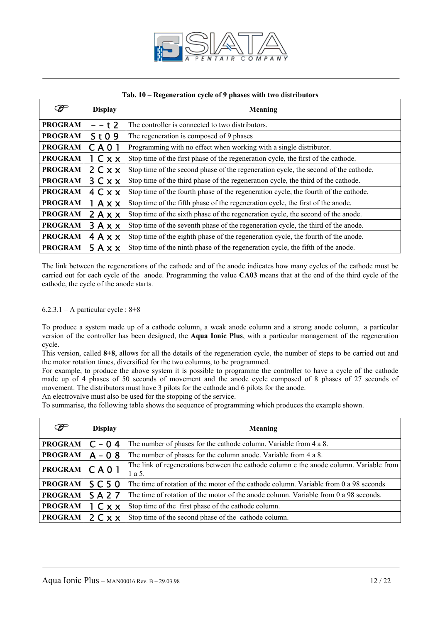

|  |  |  |  | Tab. 10 – Regeneration cycle of 9 phases with two distributors |  |
|--|--|--|--|----------------------------------------------------------------|--|
|  |  |  |  |                                                                |  |

| F              | <b>Display</b>         | Meaning                                                                             |
|----------------|------------------------|-------------------------------------------------------------------------------------|
| <b>PROGRAM</b> | – – t 2                | The controller is connected to two distributors.                                    |
| <b>PROGRAM</b> | St09                   | The regeneration is composed of 9 phases                                            |
| <b>PROGRAM</b> | CA <sub>0</sub>        | Programming with no effect when working with a single distributor.                  |
| <b>PROGRAM</b> | 1 Cxx                  | Stop time of the first phase of the regeneration cycle, the first of the cathode.   |
| <b>PROGRAM</b> | 2 C x x                | Stop time of the second phase of the regeneration cycle, the second of the cathode. |
| <b>PROGRAM</b> | 3 C x x                | Stop time of the third phase of the regeneration cycle, the third of the cathode.   |
| <b>PROGRAM</b> | 4 C x x                | Stop time of the fourth phase of the regeneration cycle, the fourth of the cathode. |
| <b>PROGRAM</b> | l A x x                | Stop time of the fifth phase of the regeneration cycle, the first of the anode.     |
| <b>PROGRAM</b> | 2Axx                   | Stop time of the sixth phase of the regeneration cycle, the second of the anode.    |
| <b>PROGRAM</b> | $3A$ $\times$ $\times$ | Stop time of the seventh phase of the regeneration cycle, the third of the anode.   |
| <b>PROGRAM</b> | $4A$ $\times$ $\times$ | Stop time of the eighth phase of the regeneration cycle, the fourth of the anode.   |
| <b>PROGRAM</b> | 5Axx                   | Stop time of the ninth phase of the regeneration cycle, the fifth of the anode.     |

The link between the regenerations of the cathode and of the anode indicates how many cycles of the cathode must be carried out for each cycle of the anode. Programming the value **CA03** means that at the end of the third cycle of the cathode, the cycle of the anode starts.

## $6.2.3.1 - A$  particular cycle :  $8+8$

To produce a system made up of a cathode column, a weak anode column and a strong anode column, a particular version of the controller has been designed, the **Aqua Ionic Plus**, with a particular management of the regeneration cycle.

This version, called **8+8**, allows for all the details of the regeneration cycle, the number of steps to be carried out and the motor rotation times, diversified for the two columns, to be programmed.

For example, to produce the above system it is possible to programme the controller to have a cycle of the cathode made up of 4 phases of 50 seconds of movement and the anode cycle composed of 8 phases of 27 seconds of movement. The distributors must have 3 pilots for the cathode and 6 pilots for the anode.

An electrovalve must also be used for the stopping of the service.

To summarise, the following table shows the sequence of programming which produces the example shown.

| $\mathcal{F}$  | <b>Display</b>   | Meaning                                                                                          |
|----------------|------------------|--------------------------------------------------------------------------------------------------|
| <b>PROGRAM</b> | $C - 04$         | The number of phases for the cathode column. Variable from 4 a 8.                                |
| <b>PROGRAM</b> | $A - 0.8$        | The number of phases for the column anode. Variable from 4 a 8.                                  |
| <b>PROGRAM</b> | C A 0 1          | The link of regenerations between the cathode column e the anode column. Variable from<br>1 a 5. |
| <b>PROGRAM</b> | SC <sub>50</sub> | The time of rotation of the motor of the cathode column. Variable from 0 a 98 seconds            |
| <b>PROGRAM</b> | <b>SA27</b>      | The time of rotation of the motor of the anode column. Variable from 0 a 98 seconds.             |
| <b>PROGRAM</b> | 1 Cxx            | Stop time of the first phase of the cathode column.                                              |
| <b>PROGRAM</b> | 2 C x x          | Stop time of the second phase of the cathode column.                                             |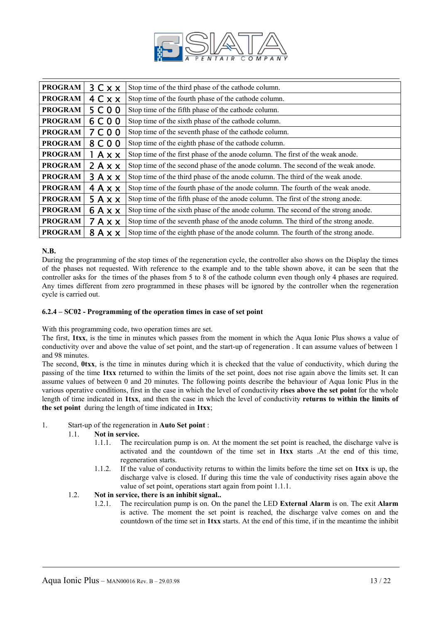

| <b>PROGRAM</b> | 3 C x x                 | Stop time of the third phase of the cathode column.                                |
|----------------|-------------------------|------------------------------------------------------------------------------------|
| <b>PROGRAM</b> | 4 C x x                 | Stop time of the fourth phase of the cathode column.                               |
| <b>PROGRAM</b> | 5 C 0 0                 | Stop time of the fifth phase of the cathode column.                                |
| <b>PROGRAM</b> | 6 C 0 0                 | Stop time of the sixth phase of the cathode column.                                |
| <b>PROGRAM</b> | 7 C 0 0                 | Stop time of the seventh phase of the cathode column.                              |
| <b>PROGRAM</b> | 8 C 0 0                 | Stop time of the eighth phase of the cathode column.                               |
| <b>PROGRAM</b> | $1$ A $\times$ $\times$ | Stop time of the first phase of the anode column. The first of the weak anode.     |
| <b>PROGRAM</b> | 2Axx                    | Stop time of the second phase of the anode column. The second of the weak anode.   |
| <b>PROGRAM</b> | $3A$ $\times$ $\times$  | Stop time of the third phase of the anode column. The third of the weak anode.     |
| <b>PROGRAM</b> | $4A$ $\times$ $\times$  | Stop time of the fourth phase of the anode column. The fourth of the weak anode.   |
| <b>PROGRAM</b> | 5Axx                    | Stop time of the fifth phase of the anode column. The first of the strong anode.   |
| <b>PROGRAM</b> | 6AXX                    | Stop time of the sixth phase of the anode column. The second of the strong anode.  |
| <b>PROGRAM</b> | $7A$ $\times$ $\times$  | Stop time of the seventh phase of the anode column. The third of the strong anode. |
| <b>PROGRAM</b> | $8A$ x x                | Stop time of the eighth phase of the anode column. The fourth of the strong anode. |

# **N.B.**

During the programming of the stop times of the regeneration cycle, the controller also shows on the Display the times of the phases not requested. With reference to the example and to the table shown above, it can be seen that the controller asks for the times of the phases from 5 to 8 of the cathode column even though only 4 phases are required. Any times different from zero programmed in these phases will be ignored by the controller when the regeneration cycle is carried out.

## **6.2.4 – SC02 - Programming of the operation times in case of set point**

With this programming code, two operation times are set.

The first, **1txx**, is the time in minutes which passes from the moment in which the Aqua Ionic Plus shows a value of conductivity over and above the value of set point, and the start-up of regeneration . It can assume values of between 1 and 98 minutes.

The second, **0txx**, is the time in minutes during which it is checked that the value of conductivity, which during the passing of the time **1txx** returned to within the limits of the set point, does not rise again above the limits set. It can assume values of between 0 and 20 minutes. The following points describe the behaviour of Aqua Ionic Plus in the various operative conditions, first in the case in which the level of conductivity **rises above the set point** for the whole length of time indicated in **1txx**, and then the case in which the level of conductivity **returns to within the limits of the set point** during the length of time indicated in **1txx**;

## 1. Start-up of the regeneration in **Auto Set point** :

## 1.1. **Not in service.**

- 1.1.1. The recirculation pump is on. At the moment the set point is reached, the discharge valve is activated and the countdown of the time set in **1txx** starts .At the end of this time, regeneration starts.
- 1.1.2. If the value of conductivity returns to within the limits before the time set on **1txx** is up, the discharge valve is closed. If during this time the vale of conductivity rises again above the value of set point, operations start again from point 1.1.1.

# 1.2. **Not in service, there is an inhibit signal..**

1.2.1. The recirculation pump is on. On the panel the LED **External Alarm** is on. The exit **Alarm** is active. The moment the set point is reached, the discharge valve comes on and the countdown of the time set in **1txx** starts. At the end of this time, if in the meantime the inhibit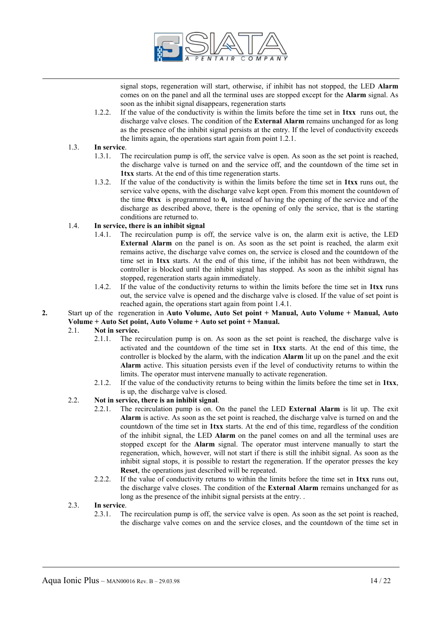

signal stops, regeneration will start, otherwise, if inhibit has not stopped, the LED **Alarm** comes on on the panel and all the terminal uses are stopped except for the **Alarm** signal. As soon as the inhibit signal disappears, regeneration starts

1.2.2. If the value of the conductivity is within the limits before the time set in **1txx** runs out, the discharge valve closes. The condition of the **External Alarm** remains unchanged for as long as the presence of the inhibit signal persists at the entry. If the level of conductivity exceeds the limits again, the operations start again from point 1.2.1.

# 1.3. **In service**.

- 1.3.1. The recirculation pump is off, the service valve is open. As soon as the set point is reached, the discharge valve is turned on and the service off, and the countdown of the time set in **1txx** starts. At the end of this time regeneration starts.
- 1.3.2. If the value of the conductivity is within the limits before the time set in **1txx** runs out, the service valve opens, with the discharge valve kept open. From this moment the countdown of the time **0txx** is programmed to **0,** instead of having the opening of the service and of the discharge as described above, there is the opening of only the service, that is the starting conditions are returned to.

# 1.4. **In service, there is an inhibit signal**

- 1.4.1. The recirculation pump is off, the service valve is on, the alarm exit is active, the LED **External Alarm** on the panel is on. As soon as the set point is reached, the alarm exit remains active, the discharge valve comes on, the service is closed and the countdown of the time set in **1txx** starts. At the end of this time, if the inhibit has not been withdrawn, the controller is blocked until the inhibit signal has stopped. As soon as the inhibit signal has stopped, regeneration starts again immediately.
- 1.4.2. If the value of the conductivity returns to within the limits before the time set in **1txx** runs out, the service valve is opened and the discharge valve is closed. If the value of set point is reached again, the operations start again from point 1.4.1.

## **2.** Start up of the regeneration in **Auto Volume, Auto Set point + Manual, Auto Volume + Manual, Auto Volume + Auto Set point, Auto Volume + Auto set point + Manual.**

# 2.1. **Not in service.**

- 2.1.1. The recirculation pump is on. As soon as the set point is reached, the discharge valve is activated and the countdown of the time set in **1txx** starts. At the end of this time, the controller is blocked by the alarm, with the indication **Alarm** lit up on the panel .and the exit **Alarm** active. This situation persists even if the level of conductivity returns to within the limits. The operator must intervene manually to activate regeneration.
- 2.1.2. If the value of the conductivity returns to being within the limits before the time set in **1txx**, is up, the discharge valve is closed.

# 2.2. **Not in service, there is an inhibit signal**.

- 2.2.1. The recirculation pump is on. On the panel the LED **External Alarm** is lit up. The exit **Alarm** is active. As soon as the set point is reached, the discharge valve is turned on and the countdown of the time set in **1txx** starts. At the end of this time, regardless of the condition of the inhibit signal, the LED **Alarm** on the panel comes on and all the terminal uses are stopped except for the **Alarm** signal. The operator must intervene manually to start the regeneration, which, however, will not start if there is still the inhibit signal. As soon as the inhibit signal stops, it is possible to restart the regeneration. If the operator presses the key **Reset**, the operations just described will be repeated.
- 2.2.2. If the value of conductivity returns to within the limits before the time set in **1txx** runs out, the discharge valve closes. The condition of the **External Alarm** remains unchanged for as long as the presence of the inhibit signal persists at the entry...

## 2.3. **In service**.

2.3.1. The recirculation pump is off, the service valve is open. As soon as the set point is reached, the discharge valve comes on and the service closes, and the countdown of the time set in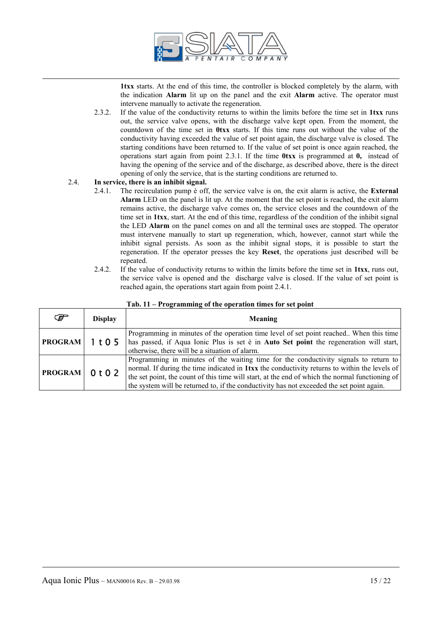

**1txx** starts. At the end of this time, the controller is blocked completely by the alarm, with the indication **Alarm** lit up on the panel and the exit **Alarm** active. The operator must intervene manually to activate the regeneration.

2.3.2. If the value of the conductivity returns to within the limits before the time set in **1txx** runs out, the service valve opens, with the discharge valve kept open. From the moment, the countdown of the time set in **0txx** starts. If this time runs out without the value of the conductivity having exceeded the value of set point again, the discharge valve is closed. The starting conditions have been returned to. If the value of set point is once again reached, the operations start again from point 2.3.1. If the time **0txx** is programmed at **0,** instead of having the opening of the service and of the discharge, as described above, there is the direct opening of only the service, that is the starting conditions are returned to.

# 2.4. **In service, there is an inhibit signal.**

- 2.4.1. The recirculation pump è off, the service valve is on, the exit alarm is active, the **External Alarm** LED on the panel is lit up. At the moment that the set point is reached, the exit alarm remains active, the discharge valve comes on, the service closes and the countdown of the time set in **1txx**, start. At the end of this time, regardless of the condition of the inhibit signal the LED **Alarm** on the panel comes on and all the terminal uses are stopped. The operator must intervene manually to start up regeneration, which, however, cannot start while the inhibit signal persists. As soon as the inhibit signal stops, it is possible to start the regeneration. If the operator presses the key **Reset**, the operations just described will be repeated.
- 2.4.2. If the value of conductivity returns to within the limits before the time set in **1txx**, runs out, the service valve is opened and the discharge valve is closed. If the value of set point is reached again, the operations start again from point 2.4.1.

| ☞              | <b>Display</b>                | Meaning                                                                                                                                                                                                                                                                                                                                                                                      |
|----------------|-------------------------------|----------------------------------------------------------------------------------------------------------------------------------------------------------------------------------------------------------------------------------------------------------------------------------------------------------------------------------------------------------------------------------------------|
| <b>PROGRAM</b> | 1 <sub>t</sub> 0 <sub>5</sub> | Programming in minutes of the operation time level of set point reached. When this time<br>has passed, if Aqua Ionic Plus is set è in Auto Set point the regeneration will start,<br>otherwise, there will be a situation of alarm.                                                                                                                                                          |
| <b>PROGRAM</b> | 0 <sub>t</sub> 0 <sub>2</sub> | Programming in minutes of the waiting time for the conductivity signals to return to<br>normal. If during the time indicated in <b>1txx</b> the conductivity returns to within the levels of<br>the set point, the count of this time will start, at the end of which the normal functioning of<br>the system will be returned to, if the conductivity has not exceeded the set point again. |

#### **Tab. 11 – Programming of the operation times for set point**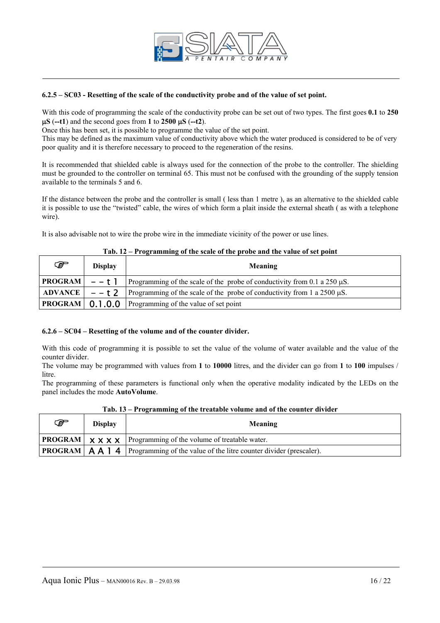

## **6.2.5 – SC03 - Resetting of the scale of the conductivity probe and of the value of set point.**

With this code of programming the scale of the conductivity probe can be set out of two types. The first goes **0.1** to **250**  µ**S** (**--t1**) and the second goes from **1** to **2500** µ**S** (**--t2**).

Once this has been set, it is possible to programme the value of the set point.

This may be defined as the maximum value of conductivity above which the water produced is considered to be of very poor quality and it is therefore necessary to proceed to the regeneration of the resins.

It is recommended that shielded cable is always used for the connection of the probe to the controller. The shielding must be grounded to the controller on terminal 65. This must not be confused with the grounding of the supply tension available to the terminals 5 and 6.

If the distance between the probe and the controller is small ( less than 1 metre ), as an alternative to the shielded cable it is possible to use the "twisted" cable, the wires of which form a plait inside the external sheath ( as with a telephone wire).

It is also advisable not to wire the probe wire in the immediate vicinity of the power or use lines.

| ☞                      | <b>Display</b> | Meaning                                                                       |
|------------------------|----------------|-------------------------------------------------------------------------------|
| $ PROGRAM $ - - t 1    |                | Programming of the scale of the probe of conductivity from 0.1 a 250 $\mu$ S. |
| <b>ADVANCE</b>         | $- - t$ 2      | Programming of the scale of the probe of conductivity from 1 a $2500 \mu S$ . |
| <b>PROGRAM</b> 0.1.0.0 |                | Programming of the value of set point                                         |

# **Tab. 12 – Programming of the scale of the probe and the value of set point**

## **6.2.6 – SC04 – Resetting of the volume and of the counter divider.**

With this code of programming it is possible to set the value of the volume of water available and the value of the counter divider.

The volume may be programmed with values from **1** to **10000** litres, and the divider can go from **1** to **100** impulses / litre.

The programming of these parameters is functional only when the operative modality indicated by the LEDs on the panel includes the mode **AutoVolume**.

| ☞ | <b>Display</b> | Meaning                                                                                                            |
|---|----------------|--------------------------------------------------------------------------------------------------------------------|
|   |                | <b>PROGRAM</b> $\times$ $\times$ $\times$ $\times$ <b>Programming of the volume of treatable water.</b>            |
|   |                | <b>PROGRAM</b> $\mathbf{A} \mathbf{A}$ <b>4</b> Programming of the value of the litre counter divider (prescaler). |

**Tab. 13 – Programming of the treatable volume and of the counter divider**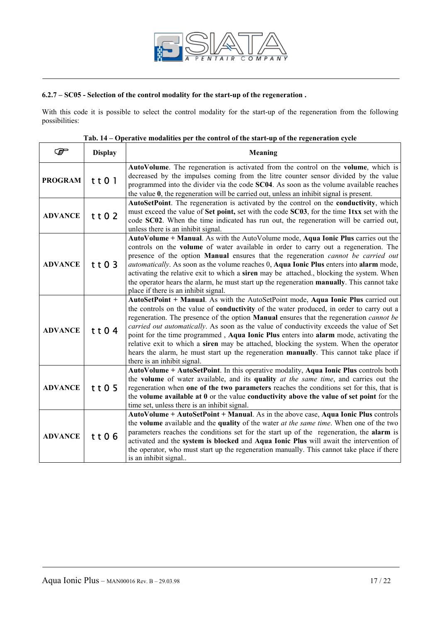

# **6.2.7 – SC05 - Selection of the control modality for the start-up of the regeneration .**

With this code it is possible to select the control modality for the start-up of the regeneration from the following possibilities:

| ☞              | <b>Display</b> | <b>Meaning</b>                                                                                                                                                                                                                                                                                                                                                                                                                                                                                                                                                                                                                                                                                        |
|----------------|----------------|-------------------------------------------------------------------------------------------------------------------------------------------------------------------------------------------------------------------------------------------------------------------------------------------------------------------------------------------------------------------------------------------------------------------------------------------------------------------------------------------------------------------------------------------------------------------------------------------------------------------------------------------------------------------------------------------------------|
| <b>PROGRAM</b> | t t 0 1        | AutoVolume. The regeneration is activated from the control on the volume, which is<br>decreased by the impulses coming from the litre counter sensor divided by the value<br>programmed into the divider via the code SC04. As soon as the volume available reaches<br>the value $0$ , the regeneration will be carried out, unless an inhibit signal is present.                                                                                                                                                                                                                                                                                                                                     |
| <b>ADVANCE</b> | t t 0 2        | AutoSetPoint. The regeneration is activated by the control on the conductivity, which<br>must exceed the value of Set point, set with the code SC03, for the time 1txx set with the<br>code SC02. When the time indicated has run out, the regeneration will be carried out,<br>unless there is an inhibit signal.                                                                                                                                                                                                                                                                                                                                                                                    |
| <b>ADVANCE</b> | tt03           | AutoVolume + Manual. As with the AutoVolume mode, Aqua Ionic Plus carries out the<br>controls on the <b>volume</b> of water available in order to carry out a regeneration. The<br>presence of the option Manual ensures that the regeneration cannot be carried out<br><i>automatically</i> . As soon as the volume reaches 0, <b>Aqua Ionic Plus</b> enters into <b>alarm</b> mode,<br>activating the relative exit to which a siren may be attached., blocking the system. When<br>the operator hears the alarm, he must start up the regeneration manually. This cannot take<br>place if there is an inhibit signal.                                                                              |
| <b>ADVANCE</b> | tt04           | AutoSetPoint + Manual. As with the AutoSetPoint mode, Aqua Ionic Plus carried out<br>the controls on the value of <b>conductivity</b> of the water produced, in order to carry out a<br>regeneration. The presence of the option <b>Manual</b> ensures that the regeneration <i>cannot be</i><br>carried out automatically. As soon as the value of conductivity exceeds the value of Set<br>point for the time programmed, Aqua Ionic Plus enters into alarm mode, activating the<br>relative exit to which a siren may be attached, blocking the system. When the operator<br>hears the alarm, he must start up the regeneration manually. This cannot take place if<br>there is an inhibit signal. |
| <b>ADVANCE</b> | tt05           | AutoVolume + AutoSetPoint. In this operative modality, Aqua Ionic Plus controls both<br>the volume of water available, and its quality at the same time, and carries out the<br>regeneration when one of the two parameters reaches the conditions set for this, that is<br>the volume available at $0$ or the value conductivity above the value of set point for the<br>time set, unless there is an inhibit signal.                                                                                                                                                                                                                                                                                |
| <b>ADVANCE</b> | tt06           | AutoVolume + AutoSetPoint + Manual. As in the above case, Aqua Ionic Plus controls<br>the <b>volume</b> available and the quality of the water <i>at the same time</i> . When one of the two<br>parameters reaches the conditions set for the start up of the regeneration, the alarm is<br>activated and the system is blocked and Aqua Ionic Plus will await the intervention of<br>the operator, who must start up the regeneration manually. This cannot take place if there<br>is an inhibit signal                                                                                                                                                                                              |

# **Tab. 14 – Operative modalities per the control of the start-up of the regeneration cycle**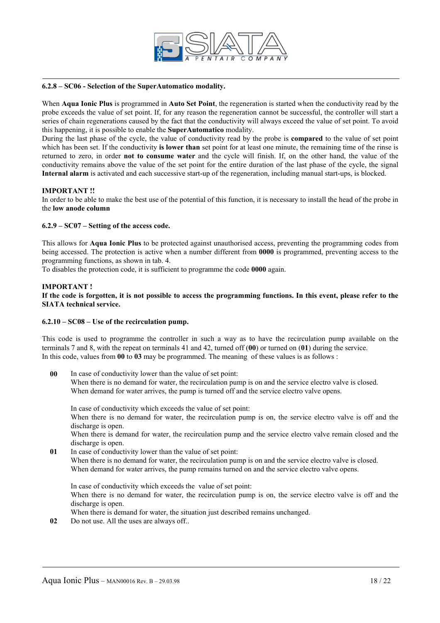

#### **6.2.8 – SC06 - Selection of the SuperAutomatico modality.**

When **Aqua Ionic Plus** is programmed in **Auto Set Point**, the regeneration is started when the conductivity read by the probe exceeds the value of set point. If, for any reason the regeneration cannot be successful, the controller will start a series of chain regenerations caused by the fact that the conductivity will always exceed the value of set point. To avoid this happening, it is possible to enable the **SuperAutomatico** modality.

During the last phase of the cycle, the value of conductivity read by the probe is **compared** to the value of set point which has been set. If the conductivity **is lower than** set point for at least one minute, the remaining time of the rinse is returned to zero, in order **not to consume water** and the cycle will finish. If, on the other hand, the value of the conductivity remains above the value of the set point for the entire duration of the last phase of the cycle, the signal **Internal alarm** is activated and each successive start-up of the regeneration, including manual start-ups, is blocked.

## **IMPORTANT !!**

In order to be able to make the best use of the potential of this function, it is necessary to install the head of the probe in the **low anode column**

## **6.2.9 – SC07 – Setting of the access code.**

This allows for **Aqua Ionic Plus** to be protected against unauthorised access, preventing the programming codes from being accessed. The protection is active when a number different from **0000** is programmed, preventing access to the programming functions, as shown in tab. 4.

To disables the protection code, it is sufficient to programme the code **0000** again.

#### **IMPORTANT !**

## **If the code is forgotten, it is not possible to access the programming functions. In this event, please refer to the SIATA technical service.**

#### **6.2.10 – SC08 – Use of the recirculation pump.**

This code is used to programme the controller in such a way as to have the recirculation pump available on the terminals 7 and 8, with the repeat on terminals 41 and 42, turned off (**00**) or turned on (**01**) during the service. In this code, values from **00** to **03** may be programmed. The meaning of these values is as follows :

**00** In case of conductivity lower than the value of set point: When there is no demand for water, the recirculation pump is on and the service electro valve is closed. When demand for water arrives, the pump is turned off and the service electro valve opens.

In case of conductivity which exceeds the value of set point:

When there is no demand for water, the recirculation pump is on, the service electro valve is off and the discharge is open.

When there is demand for water, the recirculation pump and the service electro valve remain closed and the discharge is open.

**01** In case of conductivity lower than the value of set point: When there is no demand for water, the recirculation pump is on and the service electro valve is closed. When demand for water arrives, the pump remains turned on and the service electro valve opens.

In case of conductivity which exceeds the value of set point: When there is no demand for water, the recirculation pump is on, the service electro valve is off and the discharge is open.

When there is demand for water, the situation just described remains unchanged.

**02** Do not use. All the uses are always off..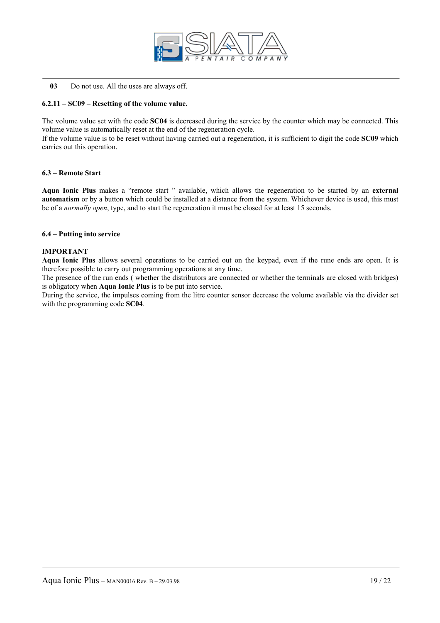

**03** Do not use. All the uses are always off.

# **6.2.11 – SC09 – Resetting of the volume value.**

The volume value set with the code **SC04** is decreased during the service by the counter which may be connected. This volume value is automatically reset at the end of the regeneration cycle.

If the volume value is to be reset without having carried out a regeneration, it is sufficient to digit the code **SC09** which carries out this operation.

#### **6.3 – Remote Start**

**Aqua Ionic Plus** makes a "remote start " available, which allows the regeneration to be started by an **external automatism** or by a button which could be installed at a distance from the system. Whichever device is used, this must be of a *normally open*, type, and to start the regeneration it must be closed for at least 15 seconds.

## **6.4 – Putting into service**

#### **IMPORTANT**

**Aqua Ionic Plus** allows several operations to be carried out on the keypad, even if the rune ends are open. It is therefore possible to carry out programming operations at any time.

The presence of the run ends ( whether the distributors are connected or whether the terminals are closed with bridges) is obligatory when **Aqua Ionic Plus** is to be put into service.

During the service, the impulses coming from the litre counter sensor decrease the volume available via the divider set with the programming code **SC04**.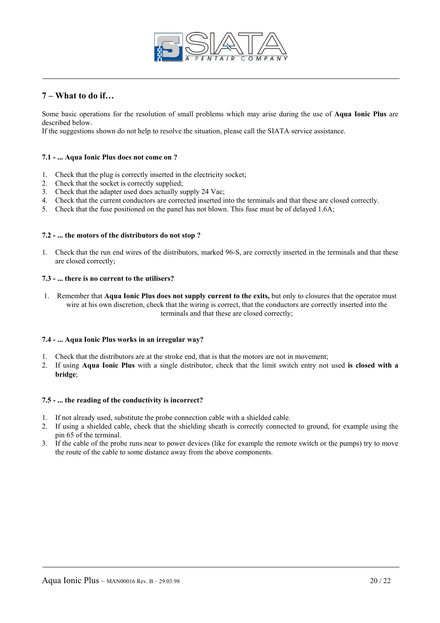

# **7 – What to do if…**

Some basic operations for the resolution of small problems which may arise during the use of **Aqua Ionic Plus** are described below.

If the suggestions shown do not help to resolve the situation, please call the SIATA service assistance.

## **7.1 - ... Aqua Ionic Plus does not come on ?**

- 1. Check that the plug is correctly inserted in the electricity socket;
- 2. Check that the socket is correctly supplied;
- 3. Check that the adapter used does actually supply 24 Vac;
- 4. Check that the current conductors are corrected inserted into the terminals and that these are closed correctly.
- 5. Check that the fuse positioned on the panel has not blown. This fuse must be of delayed 1.6A;

## **7.2 - ... the motors of the distributors do not stop ?**

1. Check that the run end wires of the distributors, marked 96-S, are correctly inserted in the terminals and that these are closed correctly;

# **7.3 - ... there is no current to the utilisers?**

1. Remember that **Aqua Ionic Plus does not supply current to the exits,** but only to closures that the operator must wire at his own discretion, check that the wiring is correct, that the conductors are correctly inserted into the terminals and that these are closed correctly;

## **7.4 - ... Aqua Ionic Plus works in an irregular way?**

- 1. Check that the distributors are at the stroke end, that is that the motors are not in movement;
- 2. If using **Aqua Ionic Plus** with a single distributor, check that the limit switch entry not used **is closed with a bridge**;

## **7.5 - ... the reading of the conductivity is incorrect?**

- 1. If not already used, substitute the probe connection cable with a shielded cable.
- 2. If using a shielded cable, check that the shielding sheath is correctly connected to ground, for example using the pin 65 of the terminal.
- 3. If the cable of the probe runs near to power devices (like for example the remote switch or the pumps) try to move the route of the cable to some distance away from the above components.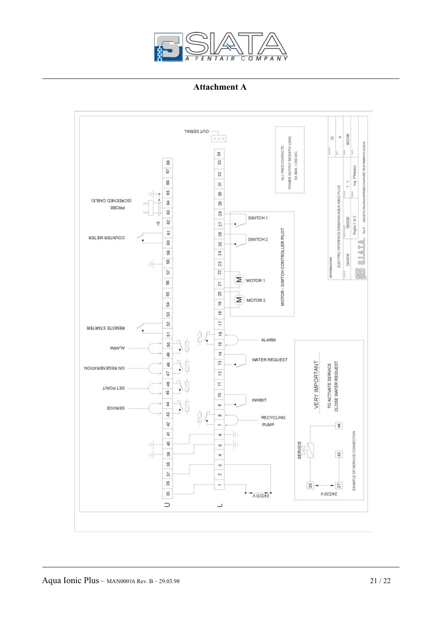

**Attachment A**